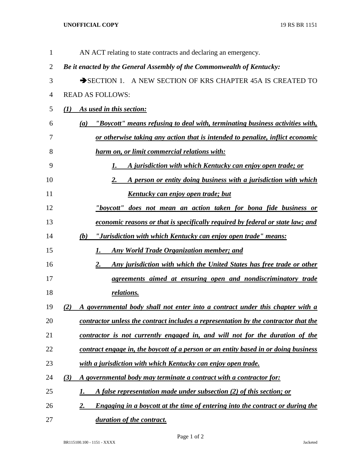## **UNOFFICIAL COPY** 19 RS BR 1151

| 1              | AN ACT relating to state contracts and declaring an emergency.                       |
|----------------|--------------------------------------------------------------------------------------|
| $\overline{2}$ | Be it enacted by the General Assembly of the Commonwealth of Kentucky:               |
| 3              | SECTION 1. A NEW SECTION OF KRS CHAPTER 45A IS CREATED TO                            |
| 4              | <b>READ AS FOLLOWS:</b>                                                              |
| 5              | As used in this section:<br>(1)                                                      |
| 6              | "Boycott" means refusing to deal with, terminating business activities with,<br>(a)  |
| 7              | or otherwise taking any action that is intended to penalize, inflict economic        |
| 8              | harm on, or limit commercial relations with:                                         |
| 9              | A jurisdiction with which Kentucky can enjoy open trade; or<br>1.                    |
| 10             | A person or entity doing business with a jurisdiction with which<br>2.               |
| 11             | <u>Kentucky can enjoy open trade; but</u>                                            |
| 12             | "boycott" does not mean an action taken for bona fide business or                    |
| 13             | economic reasons or that is specifically required by federal or state law; and       |
| 14             | "Jurisdiction with which Kentucky can enjoy open trade" means:<br>(b)                |
| 15             | <b>Any World Trade Organization member; and</b><br>1.                                |
| 16             | Any jurisdiction with which the United States has free trade or other<br>2.          |
| 17             | agreements aimed at ensuring open and nondiscriminatory trade                        |
| 18             | relations.                                                                           |
| 19             | A governmental body shall not enter into a contract under this chapter with a<br>(2) |
| 20             | contractor unless the contract includes a representation by the contractor that the  |
| 21             | contractor is not currently engaged in, and will not for the duration of the         |
| 22             | contract engage in, the boycott of a person or an entity based in or doing business  |
| 23             | with a jurisdiction with which Kentucky can enjoy open trade.                        |
| 24             | A governmental body may terminate a contract with a contractor for:<br>(3)           |
| 25             | A false representation made under subsection (2) of this section; or<br>1.           |
| 26             | Engaging in a boycott at the time of entering into the contract or during the<br>2.  |
| 27             | duration of the contract.                                                            |

Page 1 of 2